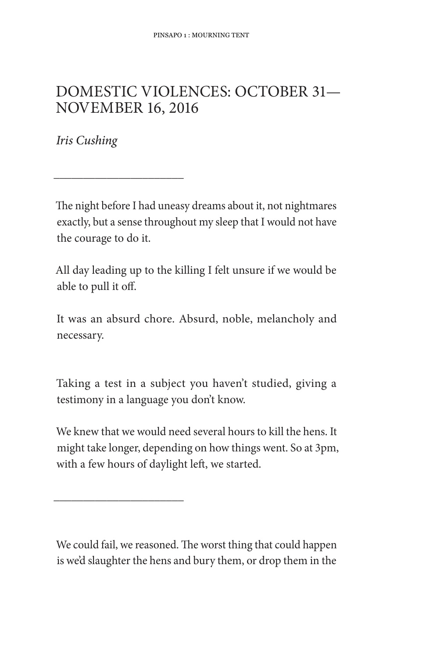## DOMESTIC VIOLENCES: OCTOBER 31-**NOVEMBER 16, 2016**

Iris Cushing

The night before I had uneasy dreams about it, not nightmares exactly, but a sense throughout my sleep that I would not have the courage to do it.

All day leading up to the killing I felt unsure if we would be able to pull it off.

It was an absurd chore. Absurd, noble, melancholy and necessary.

Taking a test in a subject you haven't studied, giving a testimony in a language you don't know.

We knew that we would need several hours to kill the hens. It might take longer, depending on how things went. So at 3pm, with a few hours of daylight left, we started.

We could fail, we reasoned. The worst thing that could happen is we'd slaughter the hens and bury them, or drop them in the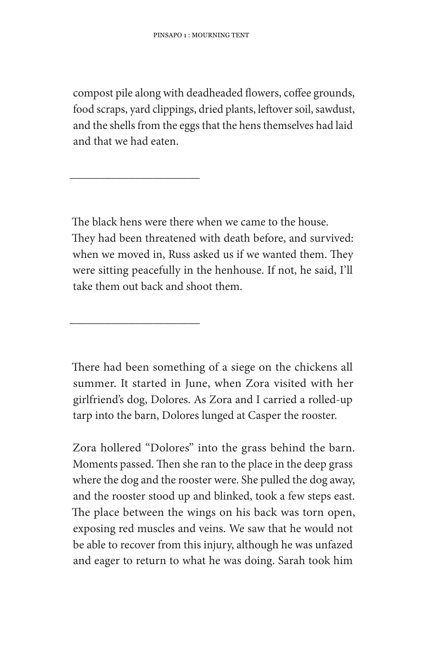compost pile along with deadheaded flowers, coffee grounds, food scraps, yard clippings, dried plants, leftover soil, sawdust, and the shells from the eggs that the hens themselves had laid and that we had eaten.

The black hens were there when we came to the house. They had been threatened with death before, and survived: when we moved in, Russ asked us if we wanted them. They were sitting peacefully in the henhouse. If not, he said, I'll take them out back and shoot them.

There had been something of a siege on the chickens all summer. It started in June, when Zora visited with her girlfriend's dog, Dolores. As Zora and I carried a rolled-up tarp into the barn, Dolores lunged at Casper the rooster.

Zora hollered "Dolores" into the grass behind the barn. Moments passed. Then she ran to the place in the deep grass where the dog and the rooster were. She pulled the dog away, and the rooster stood up and blinked, took a few steps east. The place between the wings on his back was torn open, exposing red muscles and veins. We saw that he would not be able to recover from this injury, although he was unfazed and eager to return to what he was doing. Sarah took him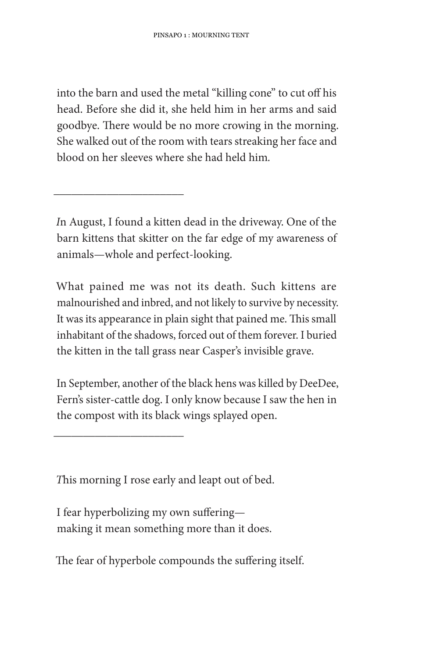into the barn and used the metal "killing cone" to cut off his head. Before she did it, she held him in her arms and said goodbye. There would be no more crowing in the morning. She walked out of the room with tears streaking her face and blood on her sleeves where she had held him.

In August, I found a kitten dead in the driveway. One of the barn kittens that skitter on the far edge of my awareness of animals-whole and perfect-looking.

What pained me was not its death. Such kittens are malnourished and inbred, and not likely to survive by necessity. It was its appearance in plain sight that pained me. This small inhabitant of the shadows, forced out of them forever. I buried the kitten in the tall grass near Casper's invisible grave.

In September, another of the black hens was killed by DeeDee, Fern's sister-cattle dog. I only know because I saw the hen in the compost with its black wings splayed open.

This morning I rose early and leapt out of bed.

I fear hyperbolizing my own sufferingmaking it mean something more than it does.

The fear of hyperbole compounds the suffering itself.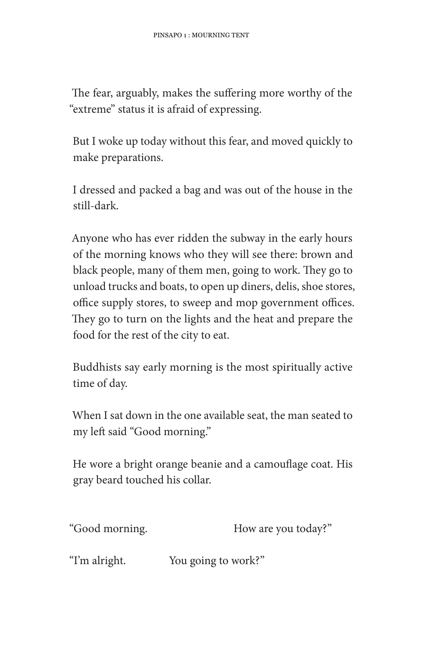The fear, arguably, makes the suffering more worthy of the "extreme" status it is afraid of expressing.

But I woke up today without this fear, and moved quickly to make preparations.

I dressed and packed a bag and was out of the house in the still-dark.

Anyone who has ever ridden the subway in the early hours of the morning knows who they will see there: brown and black people, many of them men, going to work. They go to unload trucks and boats, to open up diners, delis, shoe stores, office supply stores, to sweep and mop government offices. They go to turn on the lights and the heat and prepare the food for the rest of the city to eat.

Buddhists say early morning is the most spiritually active time of day.

When I sat down in the one available seat, the man seated to my left said "Good morning."

He wore a bright orange beanie and a camouflage coat. His gray beard touched his collar.

| "Good morning. | How are you today?" |
|----------------|---------------------|
|                |                     |

You going to work?" "I'm alright.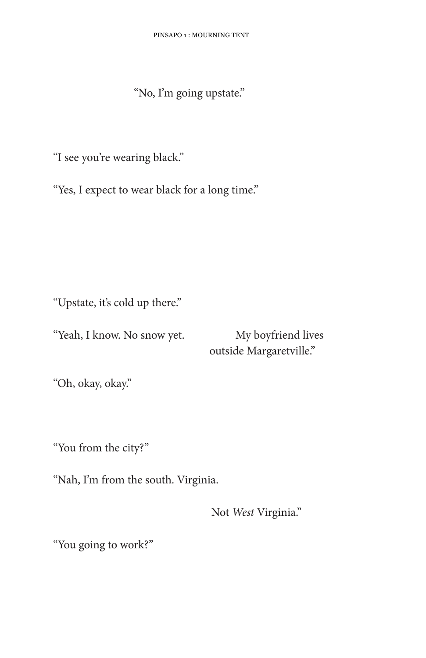"No, I'm going upstate."

"I see you're wearing black."

"Yes, I expect to wear black for a long time."

"Upstate, it's cold up there."

"Yeah, I know. No snow yet.

My boyfriend lives outside Margaretville."

"Oh, okay, okay."

"You from the city?"

"Nah, I'm from the south. Virginia.

Not West Virginia."

"You going to work?"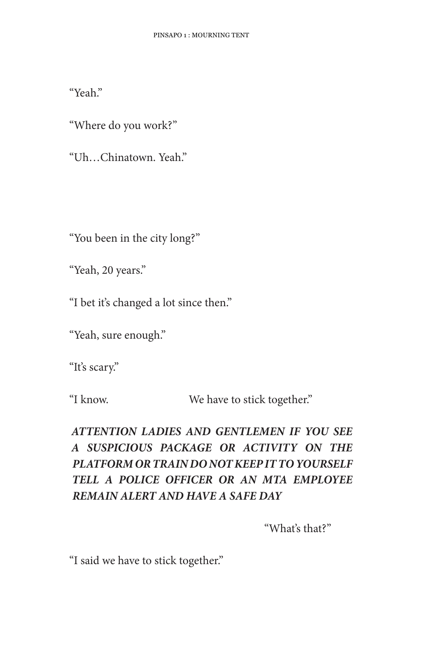"Yeah."

"Where do you work?"

"Uh., Chinatown, Yeah."

"You been in the city long?"

"Yeah, 20 years."

"I bet it's changed a lot since then."

"Yeah, sure enough."

"It's scary."

"I know.

We have to stick together."

## ATTENTION LADIES AND GENTLEMEN IF YOU SEE A SUSPICIOUS PACKAGE OR ACTIVITY ON THE PLATFORM OR TRAIN DO NOT KEEP IT TO YOURSELF TELL A POLICE OFFICER OR AN MTA EMPLOYEE **REMAIN ALERT AND HAVE A SAFE DAY**

"What's that?"

"I said we have to stick together."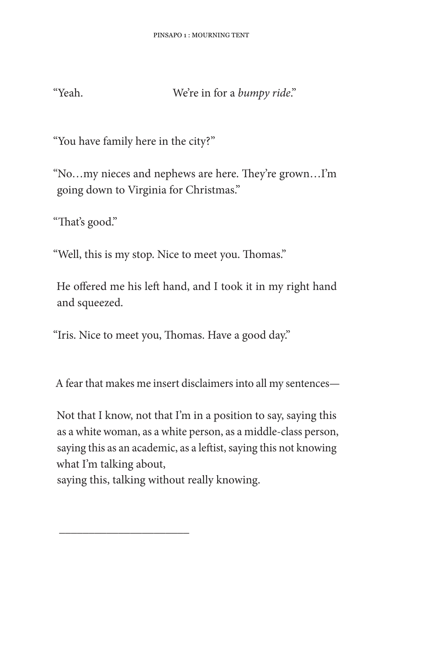"Yeah.

We're in for a bumpy ride."

"You have family here in the city?"

"No...my nieces and nephews are here. They're grown...I'm going down to Virginia for Christmas."

"That's good."

"Well, this is my stop. Nice to meet you. Thomas."

He offered me his left hand, and I took it in my right hand and squeezed.

"Iris. Nice to meet you, Thomas. Have a good day."

A fear that makes me insert disclaimers into all my sentences-

Not that I know, not that I'm in a position to say, saying this as a white woman, as a white person, as a middle-class person, saying this as an academic, as a leftist, saying this not knowing what I'm talking about,

saying this, talking without really knowing.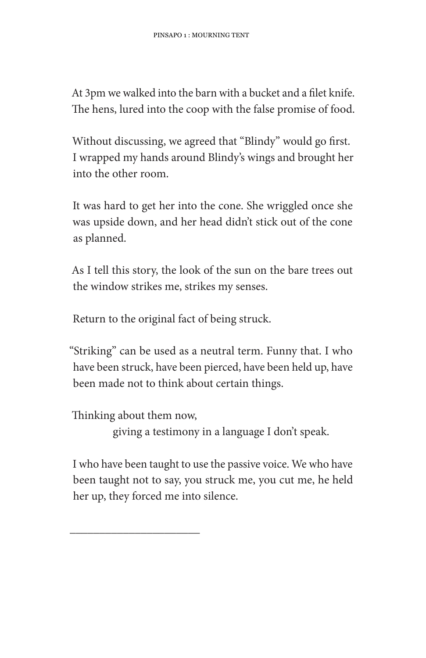At 3pm we walked into the barn with a bucket and a filet knife. The hens, lured into the coop with the false promise of food.

Without discussing, we agreed that "Blindy" would go first. I wrapped my hands around Blindy's wings and brought her into the other room

It was hard to get her into the cone. She wriggled once she was upside down, and her head didn't stick out of the cone as planned.

As I tell this story, the look of the sun on the bare trees out the window strikes me, strikes my senses.

Return to the original fact of being struck.

"Striking" can be used as a neutral term. Funny that. I who have been struck, have been pierced, have been held up, have been made not to think about certain things.

Thinking about them now,

giving a testimony in a language I don't speak.

I who have been taught to use the passive voice. We who have been taught not to say, you struck me, you cut me, he held her up, they forced me into silence.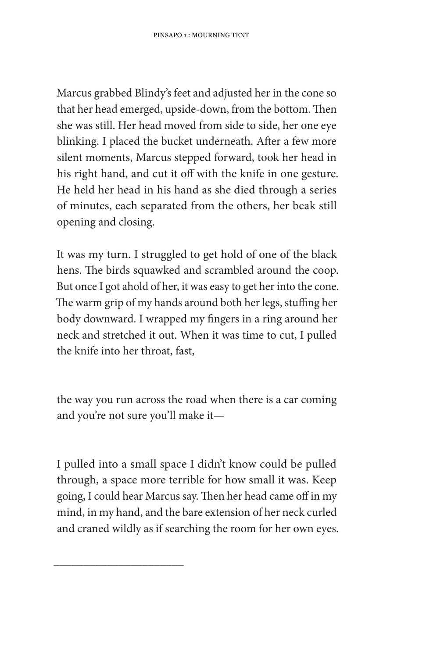Marcus grabbed Blindy's feet and adjusted her in the cone so that her head emerged, upside-down, from the bottom. Then she was still. Her head moved from side to side, her one eye blinking. I placed the bucket underneath. After a few more silent moments, Marcus stepped forward, took her head in his right hand, and cut it off with the knife in one gesture. He held her head in his hand as she died through a series of minutes, each separated from the others, her beak still opening and closing.

It was my turn. I struggled to get hold of one of the black hens. The birds squawked and scrambled around the coop. But once I got ahold of her, it was easy to get her into the cone. The warm grip of my hands around both her legs, stuffing her body downward. I wrapped my fingers in a ring around her neck and stretched it out. When it was time to cut, I pulled the knife into her throat, fast,

the way you run across the road when there is a car coming and you're not sure you'll make it-

I pulled into a small space I didn't know could be pulled through, a space more terrible for how small it was. Keep going, I could hear Marcus say. Then her head came off in my mind, in my hand, and the bare extension of her neck curled and craned wildly as if searching the room for her own eyes.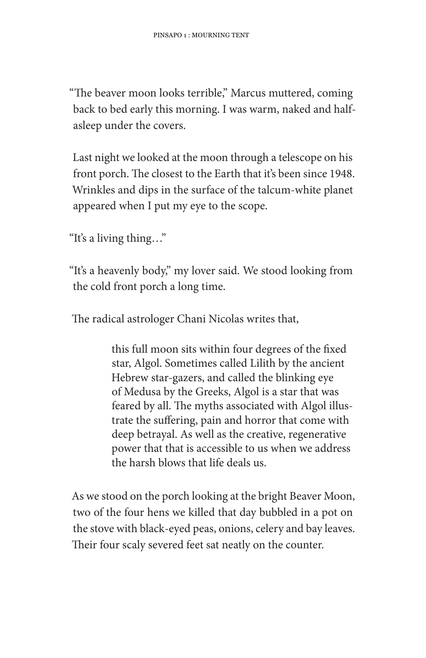"The beaver moon looks terrible," Marcus muttered, coming back to bed early this morning. I was warm, naked and halfasleep under the covers.

Last night we looked at the moon through a telescope on his front porch. The closest to the Earth that it's been since 1948. Wrinkles and dips in the surface of the talcum-white planet appeared when I put my eye to the scope.

"It's a living thing..."

"It's a heavenly body," my lover said. We stood looking from the cold front porch a long time.

The radical astrologer Chani Nicolas writes that,

this full moon sits within four degrees of the fixed star, Algol. Sometimes called Lilith by the ancient Hebrew star-gazers, and called the blinking eye of Medusa by the Greeks, Algol is a star that was feared by all. The myths associated with Algol illustrate the suffering, pain and horror that come with deep betrayal. As well as the creative, regenerative power that that is accessible to us when we address the harsh blows that life deals us.

As we stood on the porch looking at the bright Beaver Moon, two of the four hens we killed that day bubbled in a pot on the stove with black-eyed peas, onions, celery and bay leaves. Their four scaly severed feet sat neatly on the counter.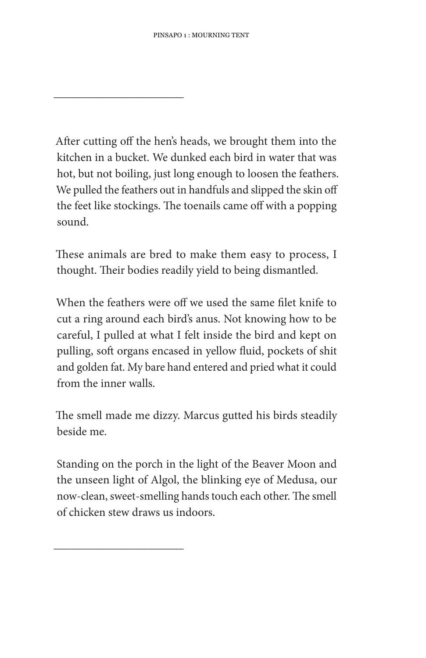After cutting off the hen's heads, we brought them into the kitchen in a bucket. We dunked each bird in water that was hot, but not boiling, just long enough to loosen the feathers. We pulled the feathers out in handfuls and slipped the skin off the feet like stockings. The toenails came off with a popping sound.

These animals are bred to make them easy to process, I thought. Their bodies readily yield to being dismantled.

When the feathers were off we used the same filet knife to cut a ring around each bird's anus. Not knowing how to be careful, I pulled at what I felt inside the bird and kept on pulling, soft organs encased in yellow fluid, pockets of shit and golden fat. My bare hand entered and pried what it could from the inner walls.

The smell made me dizzy. Marcus gutted his birds steadily beside me.

Standing on the porch in the light of the Beaver Moon and the unseen light of Algol, the blinking eye of Medusa, our now-clean, sweet-smelling hands touch each other. The smell of chicken stew draws us indoors.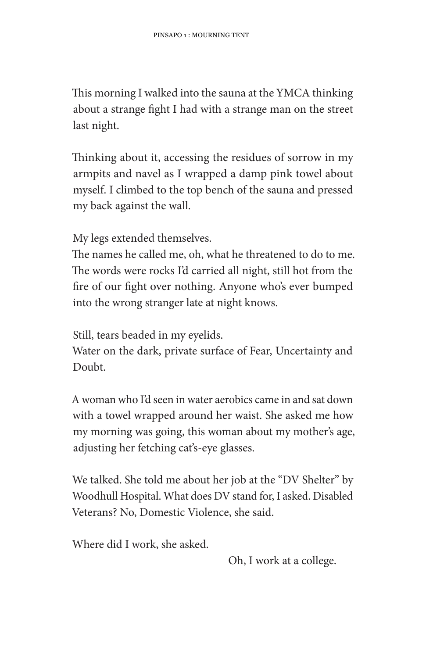This morning I walked into the sauna at the YMCA thinking about a strange fight I had with a strange man on the street last night.

Thinking about it, accessing the residues of sorrow in my armpits and navel as I wrapped a damp pink towel about myself. I climbed to the top bench of the sauna and pressed my back against the wall.

My legs extended themselves.

The names he called me, oh, what he threatened to do to me. The words were rocks I'd carried all night, still hot from the fire of our fight over nothing. Anyone who's ever bumped into the wrong stranger late at night knows.

Still, tears beaded in my eyelids.

Water on the dark, private surface of Fear, Uncertainty and Doubt.

A woman who I'd seen in water aerobics came in and sat down with a towel wrapped around her waist. She asked me how my morning was going, this woman about my mother's age, adjusting her fetching cat's-eye glasses.

We talked. She told me about her job at the "DV Shelter" by Woodhull Hospital. What does DV stand for, I asked. Disabled Veterans? No, Domestic Violence, she said.

Where did I work, she asked.

Oh, I work at a college.